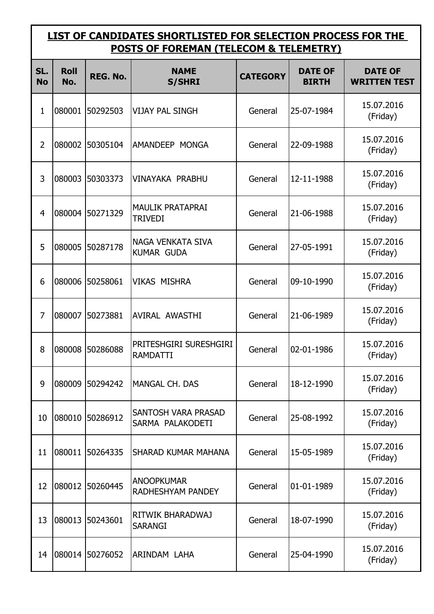## **LIST OF CANDIDATES SHORTLISTED FOR SELECTION PROCESS FOR THE POSTS OF FOREMAN (TELECOM & TELEMETRY)**

| SL.<br><b>No</b> | <b>Roll</b><br>No. | REG. No.        | <b>NAME</b><br><b>S/SHRI</b>              | <b>CATEGORY</b> | <b>DATE OF</b><br><b>BIRTH</b> | <b>DATE OF</b><br><b>WRITTEN TEST</b> |
|------------------|--------------------|-----------------|-------------------------------------------|-----------------|--------------------------------|---------------------------------------|
| 1                | 080001             | 50292503        | <b>VIJAY PAL SINGH</b>                    | General         | 25-07-1984                     | 15.07.2016<br>(Friday)                |
| 2                | 080002             | 50305104        | AMANDEEP MONGA                            | General         | 22-09-1988                     | 15.07.2016<br>(Friday)                |
| 3                | 080003             | 50303373        | <b>VINAYAKA PRABHU</b>                    | General         | 12-11-1988                     | 15.07.2016<br>(Friday)                |
| $\overline{4}$   |                    | 080004 50271329 | <b>MAULIK PRATAPRAI</b><br><b>TRIVEDI</b> | General         | 21-06-1988                     | 15.07.2016<br>(Friday)                |
| 5                | 080005             | 50287178        | NAGA VENKATA SIVA<br><b>KUMAR GUDA</b>    | General         | 27-05-1991                     | 15.07.2016<br>(Friday)                |
| 6                | 080006             | 50258061        | <b>VIKAS MISHRA</b>                       | General         | 09-10-1990                     | 15.07.2016<br>(Friday)                |
| $\overline{7}$   | 080007             | 50273881        | AVIRAL AWASTHI                            | General         | 21-06-1989                     | 15.07.2016<br>(Friday)                |
| 8                | 080008             | 50286088        | PRITESHGIRI SURESHGIRI<br><b>RAMDATTI</b> | General         | 02-01-1986                     | 15.07.2016<br>(Friday)                |
| 9                |                    | 080009 50294242 | MANGAL CH. DAS                            | General         | 18-12-1990                     | 15.07.2016<br>(Friday)                |
| 10               | 080010             | 50286912        | SANTOSH VARA PRASAD<br>SARMA PALAKODETI   | General         | 25-08-1992                     | 15.07.2016<br>(Friday)                |
| 11               | 080011             | 50264335        | <b>SHARAD KUMAR MAHANA</b>                | General         | 15-05-1989                     | 15.07.2016<br>(Friday)                |
| 12               | 080012             | 50260445        | <b>ANOOPKUMAR</b><br>RADHESHYAM PANDEY    | General         | 01-01-1989                     | 15.07.2016<br>(Friday)                |
| 13               | 080013             | 50243601        | RITWIK BHARADWAJ<br><b>SARANGI</b>        | General         | 18-07-1990                     | 15.07.2016<br>(Friday)                |
| 14               |                    | 080014 50276052 | ARINDAM LAHA                              | General         | 25-04-1990                     | 15.07.2016<br>(Friday)                |